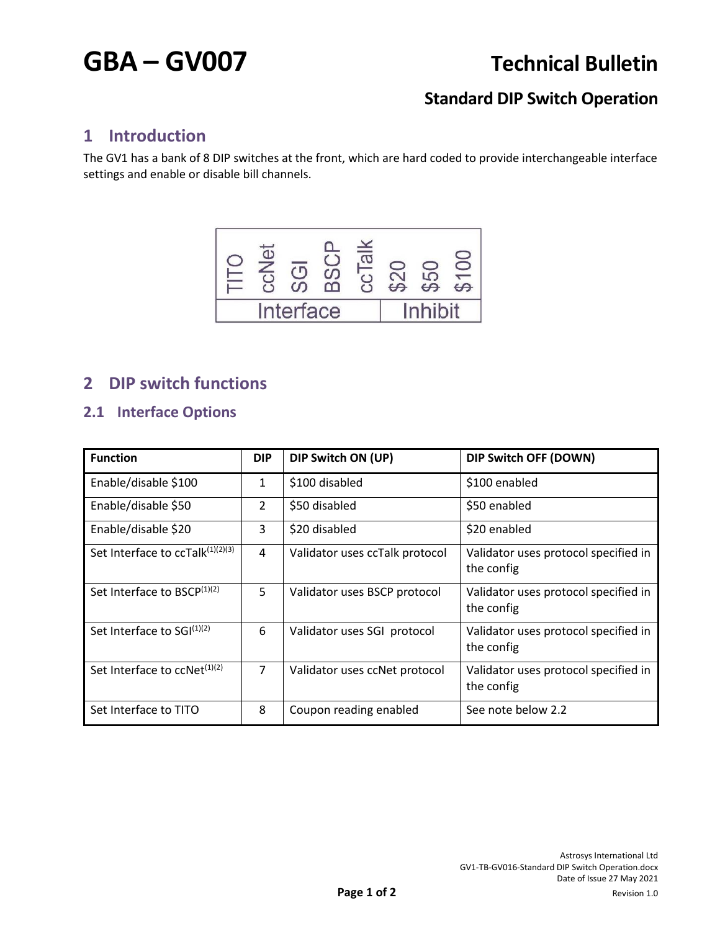# **GBA – GV007 Technical Bulletin**

# **Standard DIP Switch Operation**

## **1 Introduction**

The GV1 has a bank of 8 DIP switches at the front, which are hard coded to provide interchangeable interface settings and enable or disable bill channels.



# **2 DIP switch functions**

### **2.1 Interface Options**

| <b>Function</b>                             | <b>DIP</b>     | DIP Switch ON (UP)             | DIP Switch OFF (DOWN)                              |
|---------------------------------------------|----------------|--------------------------------|----------------------------------------------------|
| Enable/disable \$100                        | 1              | \$100 disabled                 | \$100 enabled                                      |
| Enable/disable \$50                         | 2              | \$50 disabled                  | \$50 enabled                                       |
| Enable/disable \$20                         | 3              | \$20 disabled                  | \$20 enabled                                       |
| Set Interface to ccTalk(1)(2)(3)            | 4              | Validator uses ccTalk protocol | Validator uses protocol specified in<br>the config |
| Set Interface to BSCP(1)(2)                 | 5              | Validator uses BSCP protocol   | Validator uses protocol specified in<br>the config |
| Set Interface to SGI(1)(2)                  | 6              | Validator uses SGI protocol    | Validator uses protocol specified in<br>the config |
| Set Interface to $c$ cNet <sup>(1)(2)</sup> | $\overline{7}$ | Validator uses ccNet protocol  | Validator uses protocol specified in<br>the config |
| Set Interface to TITO                       | 8              | Coupon reading enabled         | See note below 2.2                                 |